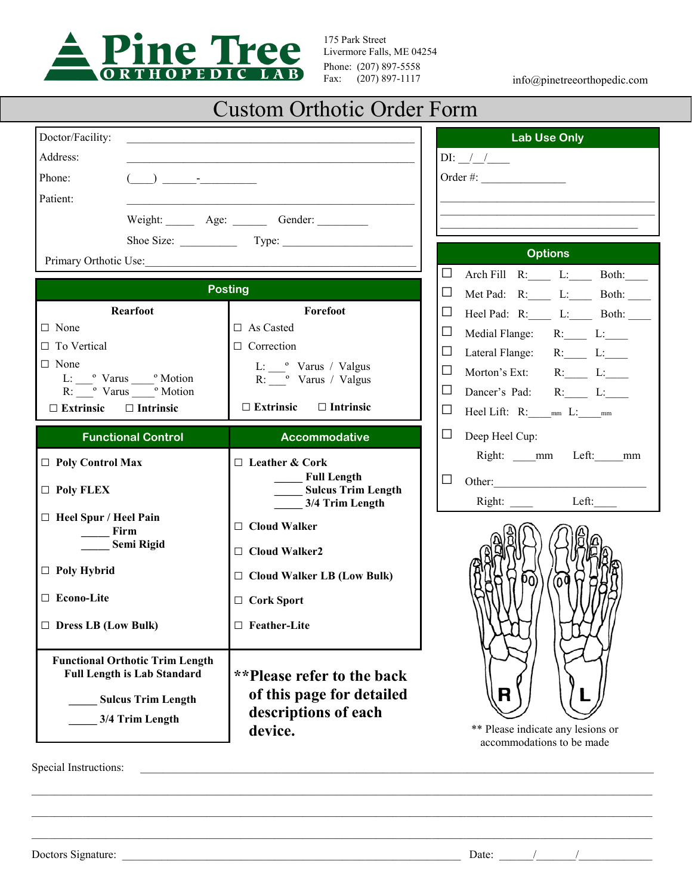

175 Park Street Livermore Falls, ME 04254 Phone: (207) 897-5558<br>Fax: (207) 897-1117

info@pinetreeorthopedic.com

# Custom Orthotic Order Form

| Doctor/Facility:                                                          |                                       | <b>Lab Use Only</b>                                             |
|---------------------------------------------------------------------------|---------------------------------------|-----------------------------------------------------------------|
| Address:                                                                  |                                       | $DI:$ $/$ $/$                                                   |
| Phone:<br>$\begin{array}{ccc} \begin{array}{ccc} \end{array} \end{array}$ |                                       | Order #: $\qquad \qquad$                                        |
| Patient:                                                                  |                                       |                                                                 |
|                                                                           | Weight: <u>Age:</u> Age: Gender:      |                                                                 |
| Shoe Size: Type: Type:                                                    |                                       |                                                                 |
| Primary Orthotic Use:                                                     |                                       | <b>Options</b>                                                  |
| <b>Posting</b>                                                            |                                       | $\Box$<br>Arch Fill R: L: Both:                                 |
| <b>Rearfoot</b>                                                           | Forefoot                              | $\Box$<br>Met Pad: R: L: Both: ___<br>Ц                         |
| $\Box$ None                                                               | $\Box$ As Casted                      | Heel Pad: R:____ L:____ Both: ____<br>⊔<br>Medial Flange: R: L: |
| $\Box$ To Vertical                                                        | $\Box$ Correction                     | Ц<br>Lateral Flange: R: L:                                      |
| $\Box$ None                                                               | L: • Varus / Valgus                   | $\Box$<br>Morton's Ext: $R:$ $L:$                               |
| L: varus varus Motion<br>R: varus varus Motion                            | R: <sup>o</sup> Varus / Valgus        | $\Box$<br>Dancer's Pad: R: L:                                   |
| $\Box$ Extrinsic $\Box$ Intrinsic                                         | $\Box$ Extrinsic $\Box$ Intrinsic     | Ц<br>Heel Lift: R: ___ mm L: ___ mm                             |
| <b>Functional Control</b>                                                 | <b>Accommodative</b>                  | ப<br>Deep Heel Cup:                                             |
|                                                                           |                                       | Right: mm Left: mm                                              |
| $\Box$ Poly Control Max                                                   | $\Box$ Leather & Cork<br>Full Length  | ப<br>Other:                                                     |
| $\Box$ Poly FLEX                                                          | Sulcus Trim Length<br>3/4 Trim Length | Right: Left:                                                    |
| $\Box$ Heel Spur / Heel Pain                                              | $\Box$ Cloud Walker                   |                                                                 |
| Firm<br><b>Semi Rigid</b>                                                 |                                       |                                                                 |
|                                                                           | $\Box$ Cloud Walker2                  |                                                                 |
| $\Box$ Poly Hybrid                                                        | $\Box$ Cloud Walker LB (Low Bulk)     | DO)<br>nu                                                       |
| □ Econo-Lite                                                              | $\Box$ Cork Sport                     |                                                                 |
| $\Box$ Dress LB (Low Bulk)                                                | $\Box$ Feather-Lite                   |                                                                 |
|                                                                           |                                       |                                                                 |
| <b>Functional Orthotic Trim Length</b>                                    |                                       |                                                                 |
| <b>Full Length is Lab Standard</b>                                        | **Please refer to the back            |                                                                 |
| <b>Sulcus Trim Length</b>                                                 | of this page for detailed             | R                                                               |
| 3/4 Trim Length                                                           | descriptions of each                  |                                                                 |
|                                                                           | device.                               | ** Please indicate any lesions or<br>accommodations to be made  |
| Special Instructions:                                                     |                                       |                                                                 |
|                                                                           |                                       |                                                                 |
|                                                                           |                                       |                                                                 |
|                                                                           |                                       |                                                                 |
|                                                                           |                                       |                                                                 |

Doctors Signature:  $\frac{1}{2}$  Date:  $\frac{1}{2}$  Date:  $\frac{1}{2}$